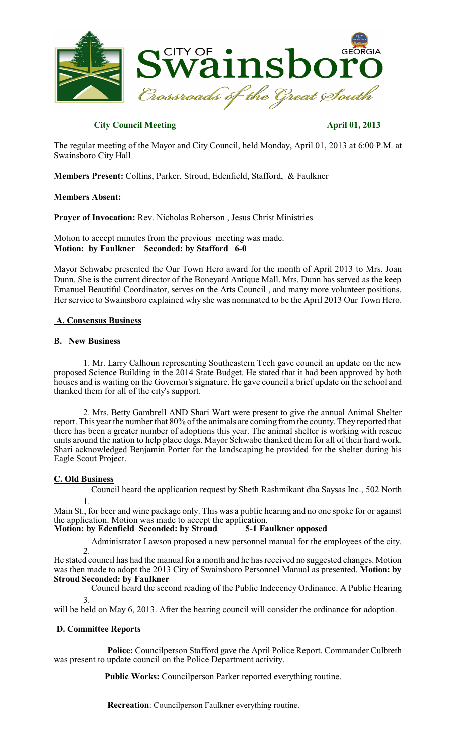

## **City Council Meeting April 01, 2013**

The regular meeting of the Mayor and City Council, held Monday, April 01, 2013 at 6:00 P.M. at Swainsboro City Hall

**Members Present:** Collins, Parker, Stroud, Edenfield, Stafford, & Faulkner

## **Members Absent:**

**Prayer of Invocation:** Rev. Nicholas Roberson , Jesus Christ Ministries

Motion to accept minutes from the previous meeting was made. **Motion: by Faulkner Seconded: by Stafford 6-0**

Mayor Schwabe presented the Our Town Hero award for the month of April 2013 to Mrs. Joan Dunn. She is the current director of the Boneyard Antique Mall. Mrs. Dunn has served as the keep Emanuel Beautiful Coordinator, serves on the Arts Council , and many more volunteer positions. Her service to Swainsboro explained why she was nominated to be the April 2013 Our Town Hero.

## **A. Consensus Business**

## **B. New Business**

1. Mr. Larry Calhoun representing Southeastern Tech gave council an update on the new proposed Science Building in the 2014 State Budget. He stated that it had been approved by both houses and is waiting on the Governor's signature. He gave council a brief update on the school and thanked them for all of the city's support.

2. Mrs. Betty Gambrell AND Shari Watt were present to give the annual Animal Shelter report. This year the number that 80% of the animals are coming from the county. They reported that there has been a greater number of adoptions this year. The animal shelter is working with rescue units around the nation to help place dogs. Mayor Schwabe thanked them for all of their hard work. Shari acknowledged Benjamin Porter for the landscaping he provided for the shelter during his Eagle Scout Project.

## **C. Old Business**

1. Council heard the application request by Sheth Rashmikant dba Saysas Inc., 502 North

Main St., for beer and wine package only. This was a public hearing and no one spoke for or against the application. Motion was made to accept the application.<br>Motion: by Edenfield Seconded: by Stroud 5-1 Faulkner opposed

# **Motion: by Edenfield Seconded: by Stroud**

2. Administrator Lawson proposed a new personnel manual for the employees of the city.

He stated council has had the manual for a month and he has received no suggested changes. Motion was then made to adopt the 2013 City of Swainsboro Personnel Manual as presented. **Motion: by Stroud Seconded: by Faulkner**

3. Council heard the second reading of the Public Indecency Ordinance. A Public Hearing

will be held on May 6, 2013. After the hearing council will consider the ordinance for adoption.

## **D. Committee Reports**

**Police:** Councilperson Stafford gave the April Police Report. Commander Culbreth was present to update council on the Police Department activity.

**Public Works:** Councilperson Parker reported everything routine.

**Recreation**: Councilperson Faulkner everything routine.